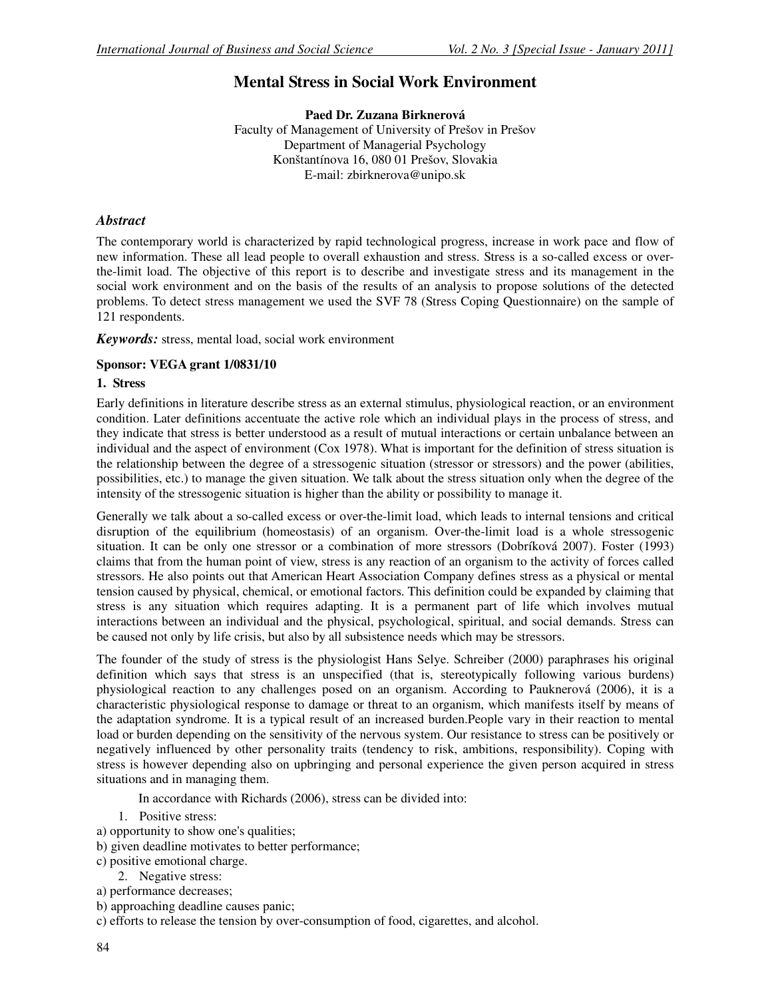# **Mental Stress in Social Work Environment**

**Paed Dr. Zuzana Birknerová**  Faculty of Management of University of Prešov in Prešov Department of Managerial Psychology Konštantínova 16, 080 01 Prešov, Slovakia E-mail: zbirknerova@unipo.sk

### *Abstract*

The contemporary world is characterized by rapid technological progress, increase in work pace and flow of new information. These all lead people to overall exhaustion and stress. Stress is a so-called excess or overthe-limit load. The objective of this report is to describe and investigate stress and its management in the social work environment and on the basis of the results of an analysis to propose solutions of the detected problems. To detect stress management we used the SVF 78 (Stress Coping Questionnaire) on the sample of 121 respondents.

*Keywords:* stress, mental load, social work environment

#### **Sponsor: VEGA grant 1/0831/10**

### **1. Stress**

Early definitions in literature describe stress as an external stimulus, physiological reaction, or an environment condition. Later definitions accentuate the active role which an individual plays in the process of stress, and they indicate that stress is better understood as a result of mutual interactions or certain unbalance between an individual and the aspect of environment (Cox 1978). What is important for the definition of stress situation is the relationship between the degree of a stressogenic situation (stressor or stressors) and the power (abilities, possibilities, etc.) to manage the given situation. We talk about the stress situation only when the degree of the intensity of the stressogenic situation is higher than the ability or possibility to manage it.

Generally we talk about a so-called excess or over-the-limit load, which leads to internal tensions and critical disruption of the equilibrium (homeostasis) of an organism. Over-the-limit load is a whole stressogenic situation. It can be only one stressor or a combination of more stressors (Dobríková 2007). Foster (1993) claims that from the human point of view, stress is any reaction of an organism to the activity of forces called stressors. He also points out that American Heart Association Company defines stress as a physical or mental tension caused by physical, chemical, or emotional factors. This definition could be expanded by claiming that stress is any situation which requires adapting. It is a permanent part of life which involves mutual interactions between an individual and the physical, psychological, spiritual, and social demands. Stress can be caused not only by life crisis, but also by all subsistence needs which may be stressors.

The founder of the study of stress is the physiologist Hans Selye. Schreiber (2000) paraphrases his original definition which says that stress is an unspecified (that is, stereotypically following various burdens) physiological reaction to any challenges posed on an organism. According to Pauknerová (2006), it is a characteristic physiological response to damage or threat to an organism, which manifests itself by means of the adaptation syndrome. It is a typical result of an increased burden.People vary in their reaction to mental load or burden depending on the sensitivity of the nervous system. Our resistance to stress can be positively or negatively influenced by other personality traits (tendency to risk, ambitions, responsibility). Coping with stress is however depending also on upbringing and personal experience the given person acquired in stress situations and in managing them.

In accordance with Richards (2006), stress can be divided into:

- 1. Positive stress:
- a) opportunity to show one's qualities;
- b) given deadline motivates to better performance;
- c) positive emotional charge.
	- 2. Negative stress:
- a) performance decreases;
- b) approaching deadline causes panic;
- c) efforts to release the tension by over-consumption of food, cigarettes, and alcohol.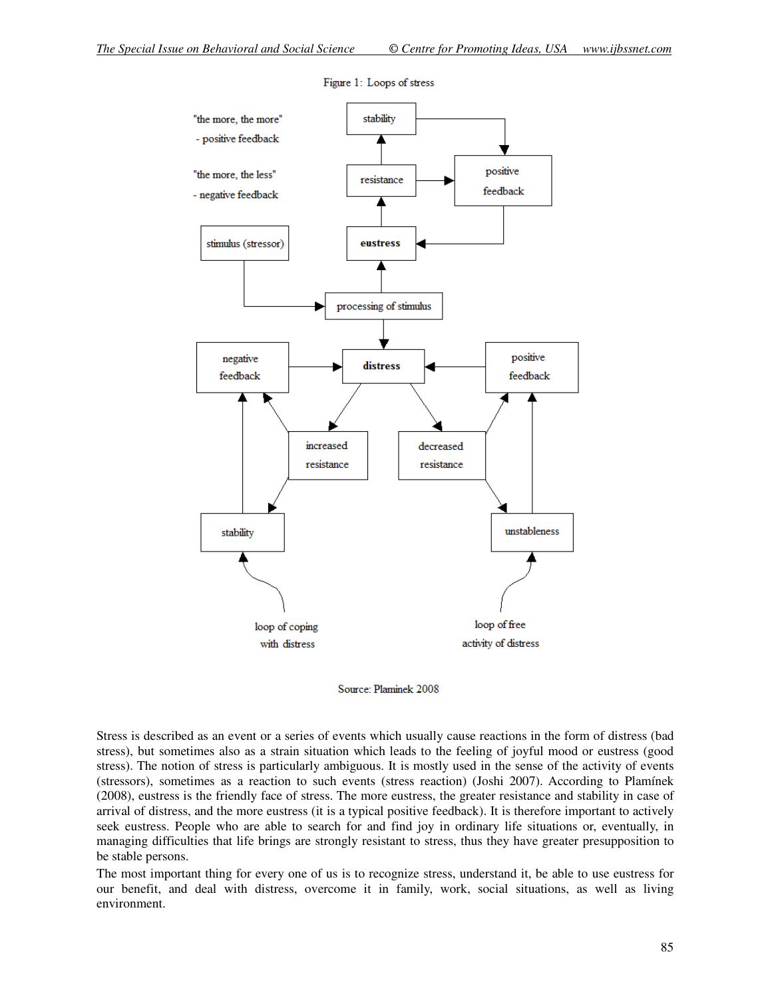

Figure 1: Loops of stress

Source: Plaminek 2008

Stress is described as an event or a series of events which usually cause reactions in the form of distress (bad stress), but sometimes also as a strain situation which leads to the feeling of joyful mood or eustress (good stress). The notion of stress is particularly ambiguous. It is mostly used in the sense of the activity of events (stressors), sometimes as a reaction to such events (stress reaction) (Joshi 2007). According to Plamínek (2008), eustress is the friendly face of stress. The more eustress, the greater resistance and stability in case of arrival of distress, and the more eustress (it is a typical positive feedback). It is therefore important to actively seek eustress. People who are able to search for and find joy in ordinary life situations or, eventually, in managing difficulties that life brings are strongly resistant to stress, thus they have greater presupposition to be stable persons.

The most important thing for every one of us is to recognize stress, understand it, be able to use eustress for our benefit, and deal with distress, overcome it in family, work, social situations, as well as living environment.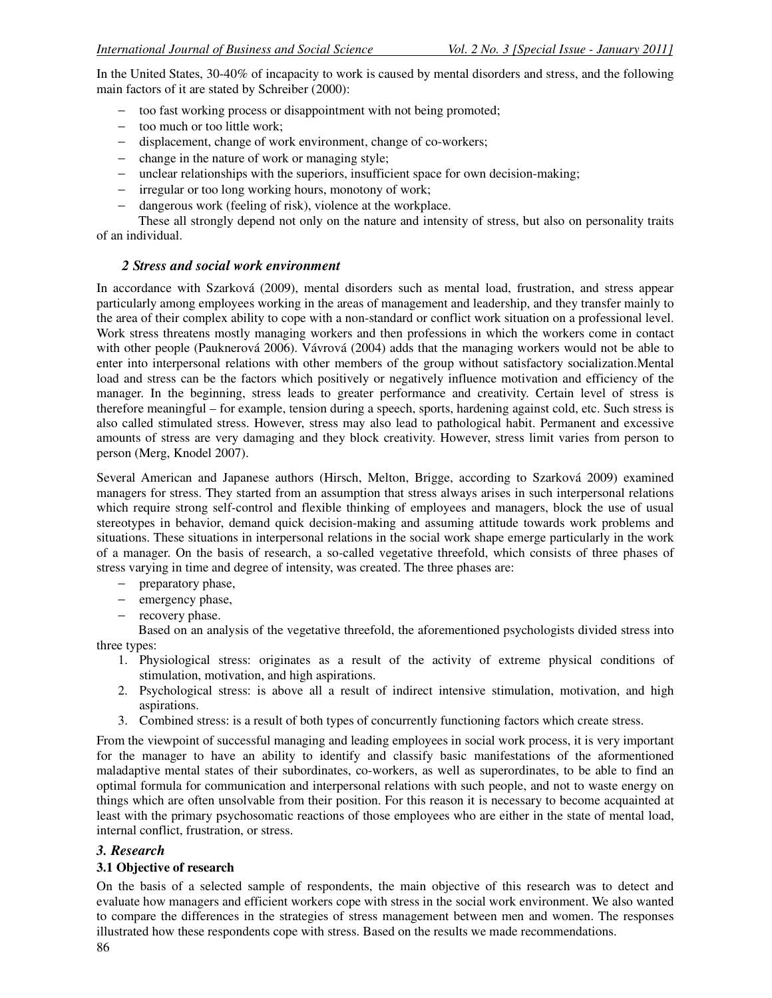In the United States, 30-40% of incapacity to work is caused by mental disorders and stress, and the following main factors of it are stated by Schreiber (2000):

- − too fast working process or disappointment with not being promoted;
- − too much or too little work;
- − displacement, change of work environment, change of co-workers;
- − change in the nature of work or managing style;
- − unclear relationships with the superiors, insufficient space for own decision-making;
- − irregular or too long working hours, monotony of work;
- − dangerous work (feeling of risk), violence at the workplace.

 These all strongly depend not only on the nature and intensity of stress, but also on personality traits of an individual.

### *2 Stress and social work environment*

In accordance with Szarková (2009), mental disorders such as mental load, frustration, and stress appear particularly among employees working in the areas of management and leadership, and they transfer mainly to the area of their complex ability to cope with a non-standard or conflict work situation on a professional level. Work stress threatens mostly managing workers and then professions in which the workers come in contact with other people (Pauknerová 2006). Vávrová (2004) adds that the managing workers would not be able to enter into interpersonal relations with other members of the group without satisfactory socialization.Mental load and stress can be the factors which positively or negatively influence motivation and efficiency of the manager. In the beginning, stress leads to greater performance and creativity. Certain level of stress is therefore meaningful – for example, tension during a speech, sports, hardening against cold, etc. Such stress is also called stimulated stress. However, stress may also lead to pathological habit. Permanent and excessive amounts of stress are very damaging and they block creativity. However, stress limit varies from person to person (Merg, Knodel 2007).

Several American and Japanese authors (Hirsch, Melton, Brigge, according to Szarková 2009) examined managers for stress. They started from an assumption that stress always arises in such interpersonal relations which require strong self-control and flexible thinking of employees and managers, block the use of usual stereotypes in behavior, demand quick decision-making and assuming attitude towards work problems and situations. These situations in interpersonal relations in the social work shape emerge particularly in the work of a manager. On the basis of research, a so-called vegetative threefold, which consists of three phases of stress varying in time and degree of intensity, was created. The three phases are:

- − preparatory phase,
- − emergency phase,
- − recovery phase.

 Based on an analysis of the vegetative threefold, the aforementioned psychologists divided stress into three types:

- 1. Physiological stress: originates as a result of the activity of extreme physical conditions of stimulation, motivation, and high aspirations.
- 2. Psychological stress: is above all a result of indirect intensive stimulation, motivation, and high aspirations.
- 3. Combined stress: is a result of both types of concurrently functioning factors which create stress.

From the viewpoint of successful managing and leading employees in social work process, it is very important for the manager to have an ability to identify and classify basic manifestations of the aformentioned maladaptive mental states of their subordinates, co-workers, as well as superordinates, to be able to find an optimal formula for communication and interpersonal relations with such people, and not to waste energy on things which are often unsolvable from their position. For this reason it is necessary to become acquainted at least with the primary psychosomatic reactions of those employees who are either in the state of mental load, internal conflict, frustration, or stress.

# *3. Research*

# **3.1 Objective of research**

On the basis of a selected sample of respondents, the main objective of this research was to detect and evaluate how managers and efficient workers cope with stress in the social work environment. We also wanted to compare the differences in the strategies of stress management between men and women. The responses illustrated how these respondents cope with stress. Based on the results we made recommendations.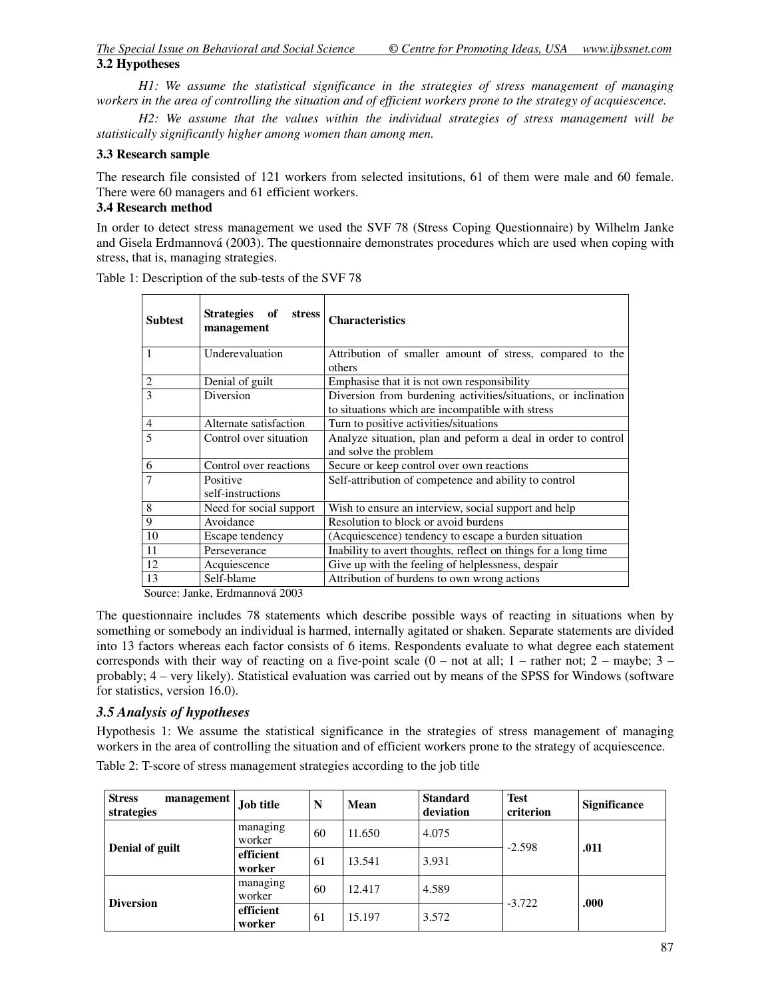*H1: We assume the statistical significance in the strategies of stress management of managing workers in the area of controlling the situation and of efficient workers prone to the strategy of acquiescence.* 

 *H2: We assume that the values within the individual strategies of stress management will be statistically significantly higher among women than among men.* 

### **3.3 Research sample**

The research file consisted of 121 workers from selected insitutions, 61 of them were male and 60 female. There were 60 managers and 61 efficient workers.

# **3.4 Research method**

In order to detect stress management we used the SVF 78 (Stress Coping Questionnaire) by Wilhelm Janke and Gisela Erdmannová (2003). The questionnaire demonstrates procedures which are used when coping with stress, that is, managing strategies.

| <b>Subtest</b> | Strategies of<br><b>stress</b><br>management | <b>Characteristics</b>                                                                                             |
|----------------|----------------------------------------------|--------------------------------------------------------------------------------------------------------------------|
|                | Underevaluation                              | Attribution of smaller amount of stress, compared to the<br>others                                                 |
| $\overline{2}$ | Denial of guilt                              | Emphasise that it is not own responsibility                                                                        |
| 3              | Diversion                                    | Diversion from burdening activities/situations, or inclination<br>to situations which are incompatible with stress |
| $\overline{4}$ | Alternate satisfaction                       | Turn to positive activities/situations                                                                             |
| 5              | Control over situation                       | Analyze situation, plan and peform a deal in order to control<br>and solve the problem                             |
| 6              | Control over reactions                       | Secure or keep control over own reactions                                                                          |
| $\overline{7}$ | Positive<br>self-instructions                | Self-attribution of competence and ability to control                                                              |
| 8              | Need for social support                      | Wish to ensure an interview, social support and help                                                               |
| 9              | Avoidance                                    | Resolution to block or avoid burdens                                                                               |
| 10             | Escape tendency                              | (Acquiescence) tendency to escape a burden situation                                                               |
| 11             | Perseverance                                 | Inability to avert thoughts, reflect on things for a long time                                                     |
| 12             | Acquiescence                                 | Give up with the feeling of helplessness, despair                                                                  |
| 13             | Self-blame                                   | Attribution of burdens to own wrong actions                                                                        |

Table 1: Description of the sub-tests of the SVF 78

Source: Janke, Erdmannová 2003

The questionnaire includes 78 statements which describe possible ways of reacting in situations when by something or somebody an individual is harmed, internally agitated or shaken. Separate statements are divided into 13 factors whereas each factor consists of 6 items. Respondents evaluate to what degree each statement corresponds with their way of reacting on a five-point scale  $(0 - not at all; 1 - rather not; 2 - maybe; 3$ probably; 4 – very likely). Statistical evaluation was carried out by means of the SPSS for Windows (software for statistics, version 16.0).

# *3.5 Analysis of hypotheses*

Hypothesis 1: We assume the statistical significance in the strategies of stress management of managing workers in the area of controlling the situation and of efficient workers prone to the strategy of acquiescence.

| <b>Stress</b><br>management<br>strategies | <b>Job title</b>    | N  | Mean   | <b>Standard</b><br>deviation | <b>Test</b><br>criterion | <b>Significance</b> |
|-------------------------------------------|---------------------|----|--------|------------------------------|--------------------------|---------------------|
| Denial of guilt                           | managing<br>worker  | 60 | 11.650 | 4.075                        | $-2.598$                 | .011                |
|                                           | efficient<br>worker | 61 | 13.541 | 3.931                        |                          |                     |
| <b>Diversion</b>                          | managing<br>worker  | 60 | 12.417 | 4.589                        | $-3.722$                 | .000                |
|                                           | efficient<br>worker | 61 | 15.197 | 3.572                        |                          |                     |

Table 2: T-score of stress management strategies according to the job title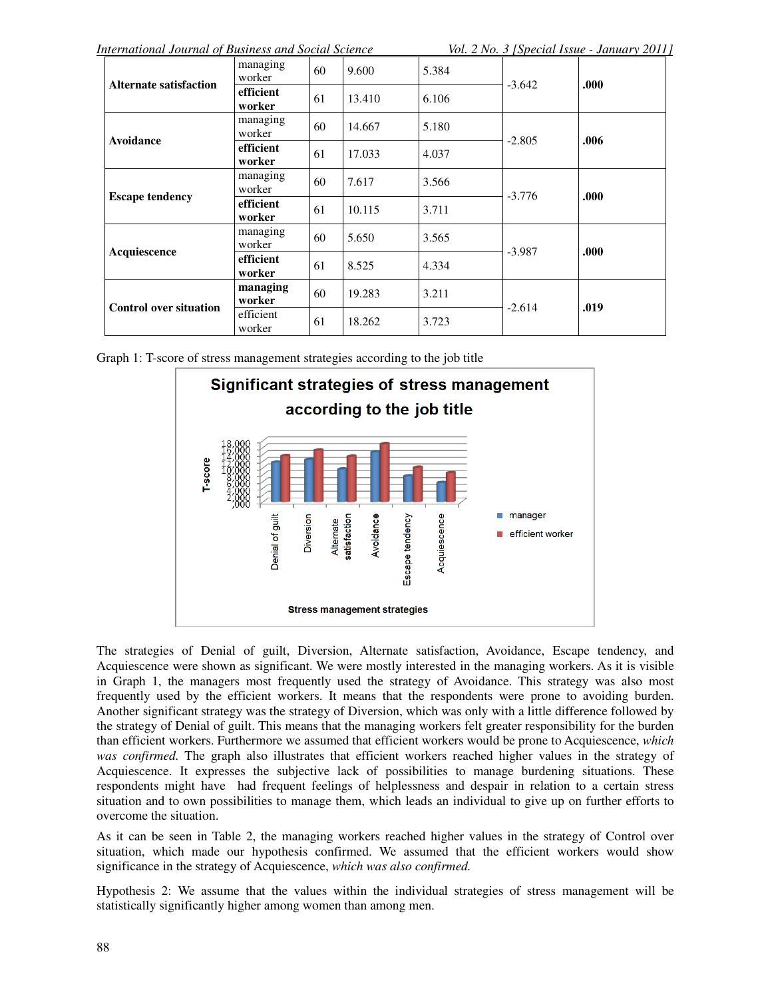*International Journal of Business and Social Science Vol. 2 No. 3 [Special Issue - January 2011]*

| <b>Alternate satisfaction</b> | managing<br>worker  | 60 | 9.600  | 5.384 | $-3.642$ | .000 |
|-------------------------------|---------------------|----|--------|-------|----------|------|
|                               | efficient<br>worker | 61 | 13.410 | 6.106 |          |      |
| Avoidance                     | managing<br>worker  | 60 | 14.667 | 5.180 | $-2.805$ | .006 |
|                               | efficient<br>worker | 61 | 17.033 | 4.037 |          |      |
|                               | managing<br>worker  | 60 | 7.617  | 3.566 | $-3.776$ | .000 |
| <b>Escape tendency</b>        | efficient<br>worker | 61 | 10.115 | 3.711 |          |      |
|                               | managing<br>worker  | 60 | 5.650  | 3.565 | $-3.987$ | .000 |
| Acquiescence                  | efficient<br>worker | 61 | 8.525  | 4.334 |          |      |
|                               | managing<br>worker  | 60 | 19.283 | 3.211 | $-2.614$ | .019 |
| <b>Control over situation</b> | efficient<br>worker | 61 | 18.262 | 3.723 |          |      |

Graph 1: T-score of stress management strategies according to the job title



The strategies of Denial of guilt, Diversion, Alternate satisfaction, Avoidance, Escape tendency, and Acquiescence were shown as significant. We were mostly interested in the managing workers. As it is visible in Graph 1, the managers most frequently used the strategy of Avoidance. This strategy was also most frequently used by the efficient workers. It means that the respondents were prone to avoiding burden. Another significant strategy was the strategy of Diversion, which was only with a little difference followed by the strategy of Denial of guilt. This means that the managing workers felt greater responsibility for the burden than efficient workers. Furthermore we assumed that efficient workers would be prone to Acquiescence, *which was confirmed.* The graph also illustrates that efficient workers reached higher values in the strategy of Acquiescence. It expresses the subjective lack of possibilities to manage burdening situations. These respondents might have had frequent feelings of helplessness and despair in relation to a certain stress situation and to own possibilities to manage them, which leads an individual to give up on further efforts to overcome the situation.

As it can be seen in Table 2, the managing workers reached higher values in the strategy of Control over situation, which made our hypothesis confirmed. We assumed that the efficient workers would show significance in the strategy of Acquiescence, *which was also confirmed.* 

Hypothesis 2: We assume that the values within the individual strategies of stress management will be statistically significantly higher among women than among men.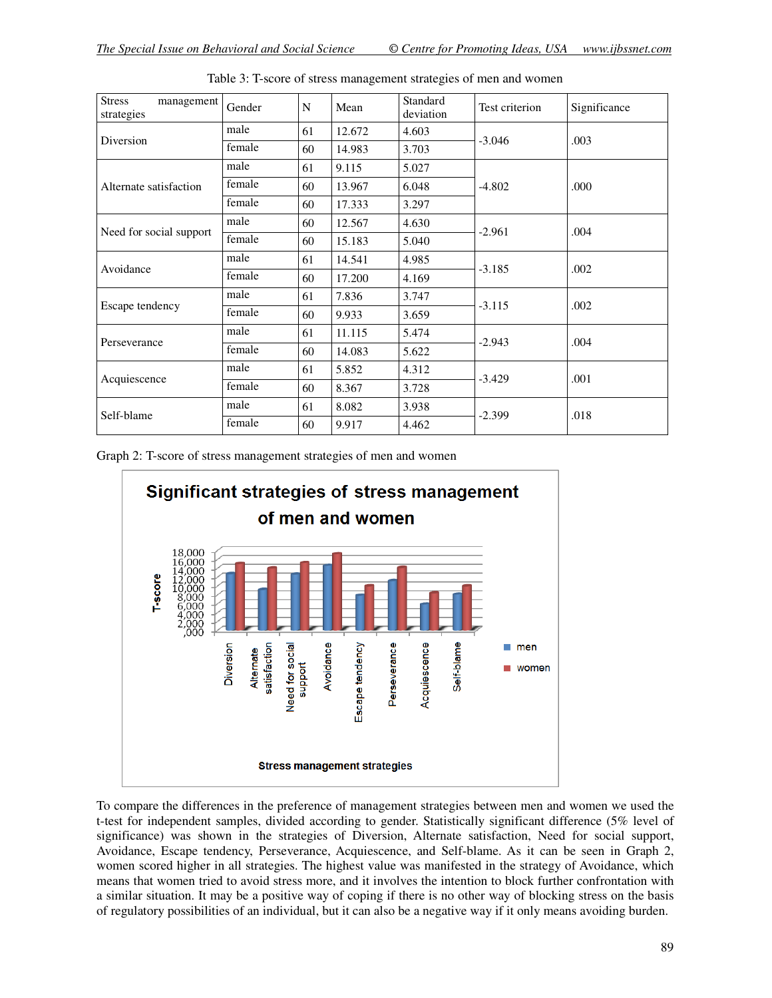| <b>Stress</b><br>management<br>strategies | Gender | N  | Mean   | Standard<br>deviation | Test criterion | Significance |
|-------------------------------------------|--------|----|--------|-----------------------|----------------|--------------|
|                                           | male   | 61 | 12.672 | 4.603                 |                | .003         |
| Diversion                                 | female | 60 | 14.983 | 3.703                 | $-3.046$       |              |
|                                           | male   | 61 | 9.115  | 5.027                 | $-4.802$       | .000         |
| Alternate satisfaction                    | female | 60 | 13.967 | 6.048                 |                |              |
|                                           | female | 60 | 17.333 | 3.297                 |                |              |
|                                           | male   | 60 | 12.567 | 4.630                 |                | .004         |
| Need for social support                   | female | 60 | 15.183 | 5.040                 | $-2.961$       |              |
|                                           | male   | 61 | 14.541 | 4.985                 | $-3.185$       | .002         |
| Avoidance                                 | female | 60 | 17.200 | 4.169                 |                |              |
|                                           | male   | 61 | 7.836  | 3.747                 |                | .002         |
| Escape tendency                           | female | 60 | 9.933  | 3.659                 | $-3.115$       |              |
|                                           | male   | 61 | 11.115 | 5.474                 |                | .004         |
| Perseverance                              | female | 60 | 14.083 | 5.622                 | $-2.943$       |              |
|                                           | male   | 61 | 5.852  | 4.312                 |                | .001         |
| Acquiescence                              | female | 60 | 8.367  | 3.728                 | $-3.429$       |              |
|                                           | male   | 61 | 8.082  | 3.938                 |                | .018         |
| Self-blame                                | female | 60 | 9.917  | 4.462                 | $-2.399$       |              |

Table 3: T-score of stress management strategies of men and women

Graph 2: T-score of stress management strategies of men and women



To compare the differences in the preference of management strategies between men and women we used the t-test for independent samples, divided according to gender. Statistically significant difference (5% level of significance) was shown in the strategies of Diversion, Alternate satisfaction, Need for social support, Avoidance, Escape tendency, Perseverance, Acquiescence, and Self-blame. As it can be seen in Graph 2, women scored higher in all strategies. The highest value was manifested in the strategy of Avoidance, which means that women tried to avoid stress more, and it involves the intention to block further confrontation with a similar situation. It may be a positive way of coping if there is no other way of blocking stress on the basis of regulatory possibilities of an individual, but it can also be a negative way if it only means avoiding burden.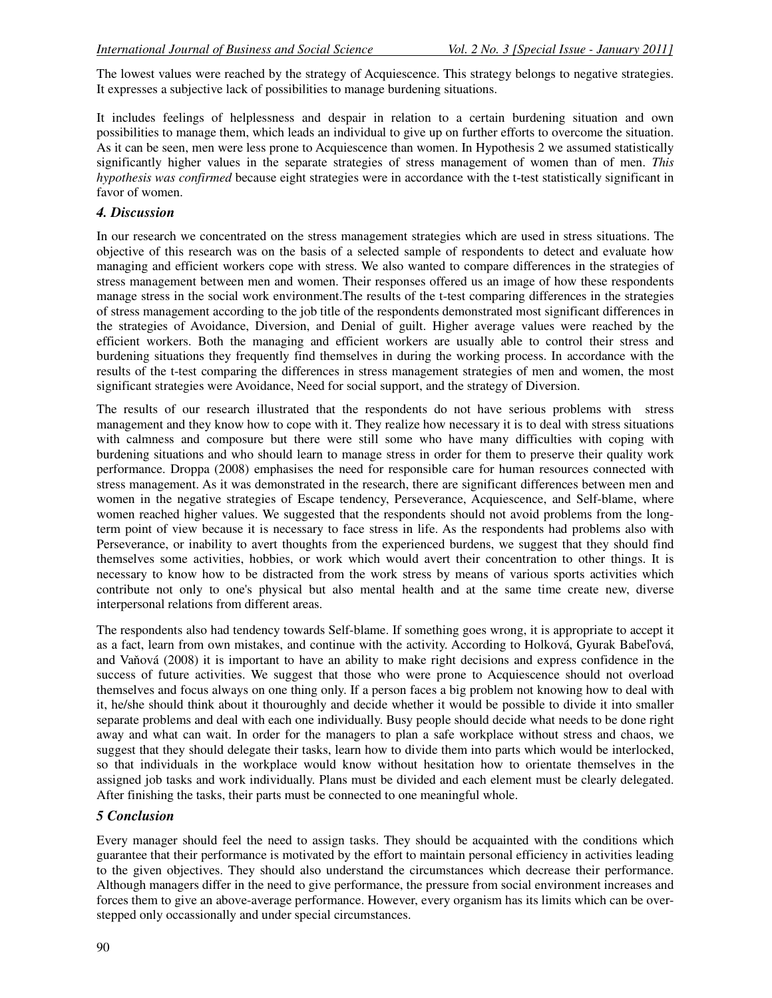The lowest values were reached by the strategy of Acquiescence. This strategy belongs to negative strategies. It expresses a subjective lack of possibilities to manage burdening situations.

It includes feelings of helplessness and despair in relation to a certain burdening situation and own possibilities to manage them, which leads an individual to give up on further efforts to overcome the situation. As it can be seen, men were less prone to Acquiescence than women. In Hypothesis 2 we assumed statistically significantly higher values in the separate strategies of stress management of women than of men. *This hypothesis was confirmed* because eight strategies were in accordance with the t-test statistically significant in favor of women.

### *4. Discussion*

In our research we concentrated on the stress management strategies which are used in stress situations. The objective of this research was on the basis of a selected sample of respondents to detect and evaluate how managing and efficient workers cope with stress. We also wanted to compare differences in the strategies of stress management between men and women. Their responses offered us an image of how these respondents manage stress in the social work environment.The results of the t-test comparing differences in the strategies of stress management according to the job title of the respondents demonstrated most significant differences in the strategies of Avoidance, Diversion, and Denial of guilt. Higher average values were reached by the efficient workers. Both the managing and efficient workers are usually able to control their stress and burdening situations they frequently find themselves in during the working process. In accordance with the results of the t-test comparing the differences in stress management strategies of men and women, the most significant strategies were Avoidance, Need for social support, and the strategy of Diversion.

The results of our research illustrated that the respondents do not have serious problems with stress management and they know how to cope with it. They realize how necessary it is to deal with stress situations with calmness and composure but there were still some who have many difficulties with coping with burdening situations and who should learn to manage stress in order for them to preserve their quality work performance. Droppa (2008) emphasises the need for responsible care for human resources connected with stress management. As it was demonstrated in the research, there are significant differences between men and women in the negative strategies of Escape tendency, Perseverance, Acquiescence, and Self-blame, where women reached higher values. We suggested that the respondents should not avoid problems from the longterm point of view because it is necessary to face stress in life. As the respondents had problems also with Perseverance, or inability to avert thoughts from the experienced burdens, we suggest that they should find themselves some activities, hobbies, or work which would avert their concentration to other things. It is necessary to know how to be distracted from the work stress by means of various sports activities which contribute not only to one's physical but also mental health and at the same time create new, diverse interpersonal relations from different areas.

The respondents also had tendency towards Self-blame. If something goes wrong, it is appropriate to accept it as a fact, learn from own mistakes, and continue with the activity. According to Holková, Gyurak Babeľová, and Vaňová (2008) it is important to have an ability to make right decisions and express confidence in the success of future activities. We suggest that those who were prone to Acquiescence should not overload themselves and focus always on one thing only. If a person faces a big problem not knowing how to deal with it, he/she should think about it thouroughly and decide whether it would be possible to divide it into smaller separate problems and deal with each one individually. Busy people should decide what needs to be done right away and what can wait. In order for the managers to plan a safe workplace without stress and chaos, we suggest that they should delegate their tasks, learn how to divide them into parts which would be interlocked, so that individuals in the workplace would know without hesitation how to orientate themselves in the assigned job tasks and work individually. Plans must be divided and each element must be clearly delegated. After finishing the tasks, their parts must be connected to one meaningful whole.

#### *5 Conclusion*

Every manager should feel the need to assign tasks. They should be acquainted with the conditions which guarantee that their performance is motivated by the effort to maintain personal efficiency in activities leading to the given objectives. They should also understand the circumstances which decrease their performance. Although managers differ in the need to give performance, the pressure from social environment increases and forces them to give an above-average performance. However, every organism has its limits which can be overstepped only occassionally and under special circumstances.